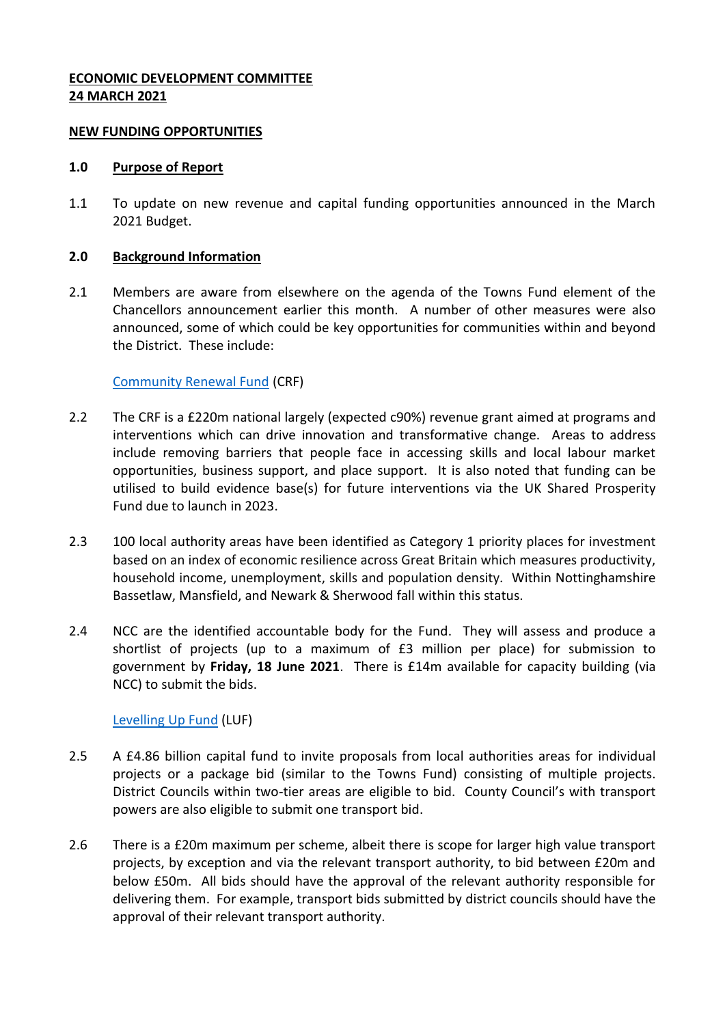## **ECONOMIC DEVELOPMENT COMMITTEE 24 MARCH 2021**

#### **NEW FUNDING OPPORTUNITIES**

#### **1.0 Purpose of Report**

1.1 To update on new revenue and capital funding opportunities announced in the March 2021 Budget.

#### **2.0 Background Information**

2.1 Members are aware from elsewhere on the agenda of the Towns Fund element of the Chancellors announcement earlier this month. A number of other measures were also announced, some of which could be key opportunities for communities within and beyond the District. These include:

## [Community Renewal Fund](https://www.gov.uk/government/publications/uk-community-renewal-fund-prospectus/uk-community-renewal-fund-prospectus-2021-22) (CRF)

- 2.2 The CRF is a £220m national largely (expected c90%) revenue grant aimed at programs and interventions which can drive innovation and transformative change. Areas to address include removing barriers that people face in accessing skills and local labour market opportunities, business support, and place support. It is also noted that funding can be utilised to build evidence base(s) for future interventions via the UK Shared Prosperity Fund due to launch in 2023.
- 2.3 100 local authority areas have been identified as Category 1 priority places for investment based on an index of economic resilience across Great Britain which measures productivity, household income, unemployment, skills and population density. Within Nottinghamshire Bassetlaw, Mansfield, and Newark & Sherwood fall within this status.
- 2.4 NCC are the identified accountable body for the Fund. They will assess and produce a shortlist of projects (up to a maximum of £3 million per place) for submission to government by **Friday, 18 June 2021**. There is £14m available for capacity building (via NCC) to submit the bids.

## [Levelling Up Fund](https://www.gov.uk/government/publications/levelling-up-fund-prospectus) (LUF)

- 2.5 A £4.86 billion capital fund to invite proposals from local authorities areas for individual projects or a package bid (similar to the Towns Fund) consisting of multiple projects. District Councils within two-tier areas are eligible to bid. County Council's with transport powers are also eligible to submit one transport bid.
- 2.6 There is a £20m maximum per scheme, albeit there is scope for larger high value transport projects, by exception and via the relevant transport authority, to bid between £20m and below £50m. All bids should have the approval of the relevant authority responsible for delivering them. For example, transport bids submitted by district councils should have the approval of their relevant transport authority.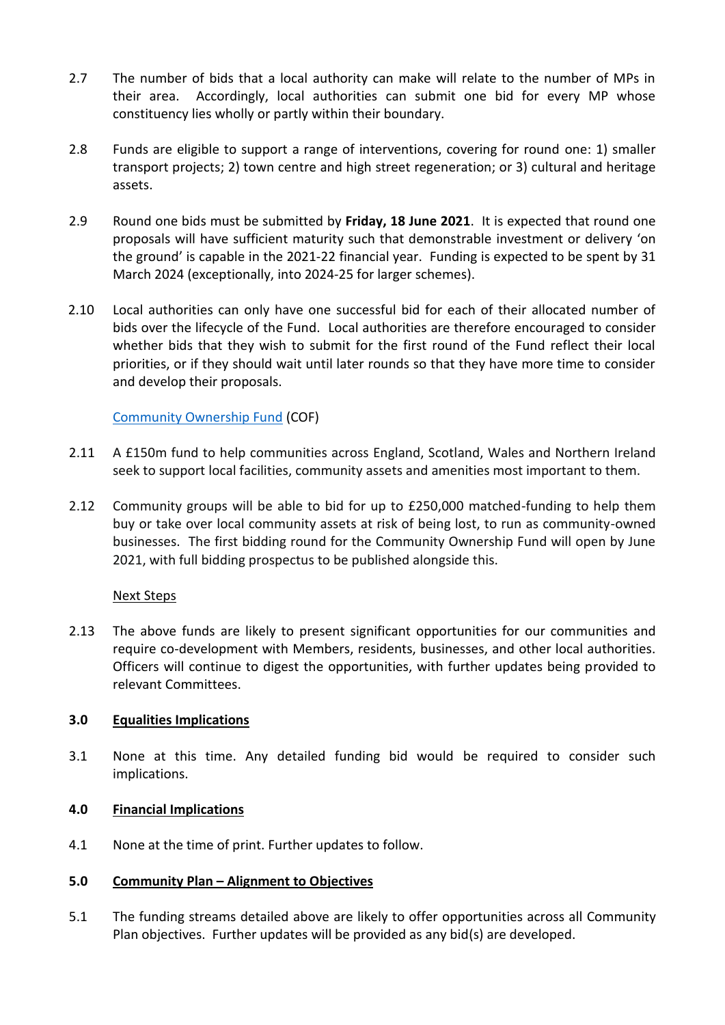- 2.7 The number of bids that a local authority can make will relate to the number of MPs in their area. Accordingly, local authorities can submit one bid for every MP whose constituency lies wholly or partly within their boundary.
- 2.8 Funds are eligible to support a range of interventions, covering for round one: 1) smaller transport projects; 2) town centre and high street regeneration; or 3) cultural and heritage assets.
- 2.9 Round one bids must be submitted by **Friday, 18 June 2021**. It is expected that round one proposals will have sufficient maturity such that demonstrable investment or delivery 'on the ground' is capable in the 2021-22 financial year. Funding is expected to be spent by 31 March 2024 (exceptionally, into 2024-25 for larger schemes).
- 2.10 Local authorities can only have one successful bid for each of their allocated number of bids over the lifecycle of the Fund. Local authorities are therefore encouraged to consider whether bids that they wish to submit for the first round of the Fund reflect their local priorities, or if they should wait until later rounds so that they have more time to consider and develop their proposals.

# [Community Ownership Fund](https://www.gov.uk/government/publications/community-ownership-fund/community-ownership-fund) (COF)

- 2.11 A £150m fund to help communities across England, Scotland, Wales and Northern Ireland seek to support local facilities, community assets and amenities most important to them.
- 2.12 Community groups will be able to bid for up to £250,000 matched-funding to help them buy or take over local community assets at risk of being lost, to run as community-owned businesses. The first bidding round for the Community Ownership Fund will open by June 2021, with full bidding prospectus to be published alongside this.

## Next Steps

2.13 The above funds are likely to present significant opportunities for our communities and require co-development with Members, residents, businesses, and other local authorities. Officers will continue to digest the opportunities, with further updates being provided to relevant Committees.

## **3.0 Equalities Implications**

3.1 None at this time. Any detailed funding bid would be required to consider such implications.

## **4.0 Financial Implications**

4.1 None at the time of print. Further updates to follow.

## **5.0 Community Plan – Alignment to Objectives**

5.1 The funding streams detailed above are likely to offer opportunities across all Community Plan objectives. Further updates will be provided as any bid(s) are developed.